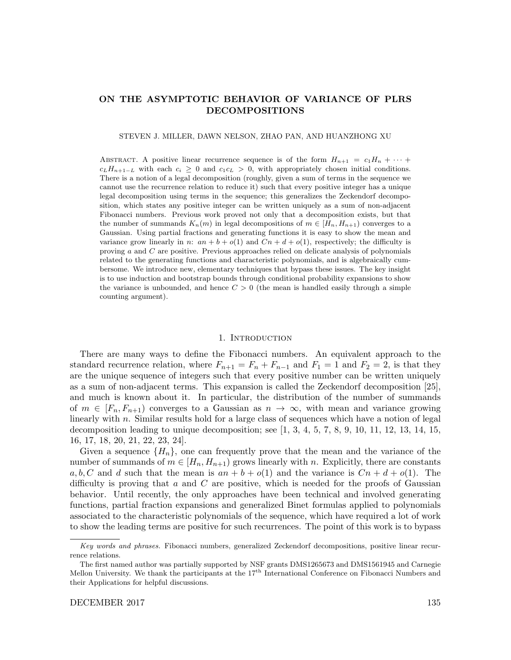# ON THE ASYMPTOTIC BEHAVIOR OF VARIANCE OF PLRS DECOMPOSITIONS

STEVEN J. MILLER, DAWN NELSON, ZHAO PAN, AND HUANZHONG XU

ABSTRACT. A positive linear recurrence sequence is of the form  $H_{n+1} = c_1H_n + \cdots$  $c_L H_{n+1-L}$  with each  $c_i \geq 0$  and  $c_1 c_L > 0$ , with appropriately chosen initial conditions. There is a notion of a legal decomposition (roughly, given a sum of terms in the sequence we cannot use the recurrence relation to reduce it) such that every positive integer has a unique legal decomposition using terms in the sequence; this generalizes the Zeckendorf decomposition, which states any positive integer can be written uniquely as a sum of non-adjacent Fibonacci numbers. Previous work proved not only that a decomposition exists, but that the number of summands  $K_n(m)$  in legal decompositions of  $m \in [H_n, H_{n+1})$  converges to a Gaussian. Using partial fractions and generating functions it is easy to show the mean and variance grow linearly in n:  $an + b + o(1)$  and  $Cn + d + o(1)$ , respectively; the difficulty is proving a and C are positive. Previous approaches relied on delicate analysis of polynomials related to the generating functions and characteristic polynomials, and is algebraically cumbersome. We introduce new, elementary techniques that bypass these issues. The key insight is to use induction and bootstrap bounds through conditional probability expansions to show the variance is unbounded, and hence  $C > 0$  (the mean is handled easily through a simple counting argument).

#### 1. INTRODUCTION

There are many ways to define the Fibonacci numbers. An equivalent approach to the standard recurrence relation, where  $F_{n+1} = F_n + F_{n-1}$  and  $F_1 = 1$  and  $F_2 = 2$ , is that they are the unique sequence of integers such that every positive number can be written uniquely as a sum of non-adjacent terms. This expansion is called the Zeckendorf decomposition [25], and much is known about it. In particular, the distribution of the number of summands of  $m \in [F_n, F_{n+1}]$  converges to a Gaussian as  $n \to \infty$ , with mean and variance growing linearly with  $n$ . Similar results hold for a large class of sequences which have a notion of legal decomposition leading to unique decomposition; see  $[1, 3, 4, 5, 7, 8, 9, 10, 11, 12, 13, 14, 15,$ 16, 17, 18, 20, 21, 22, 23, 24].

Given a sequence  $\{H_n\}$ , one can frequently prove that the mean and the variance of the number of summands of  $m \in [H_n, H_{n+1})$  grows linearly with n. Explicitly, there are constants a, b, C and d such that the mean is  $an + b + o(1)$  and the variance is  $Cn + d + o(1)$ . The difficulty is proving that a and  $C$  are positive, which is needed for the proofs of Gaussian behavior. Until recently, the only approaches have been technical and involved generating functions, partial fraction expansions and generalized Binet formulas applied to polynomials associated to the characteristic polynomials of the sequence, which have required a lot of work to show the leading terms are positive for such recurrences. The point of this work is to bypass

Key words and phrases. Fibonacci numbers, generalized Zeckendorf decompositions, positive linear recurrence relations.

The first named author was partially supported by NSF grants DMS1265673 and DMS1561945 and Carnegie Mellon University. We thank the participants at the 17<sup>th</sup> International Conference on Fibonacci Numbers and their Applications for helpful discussions.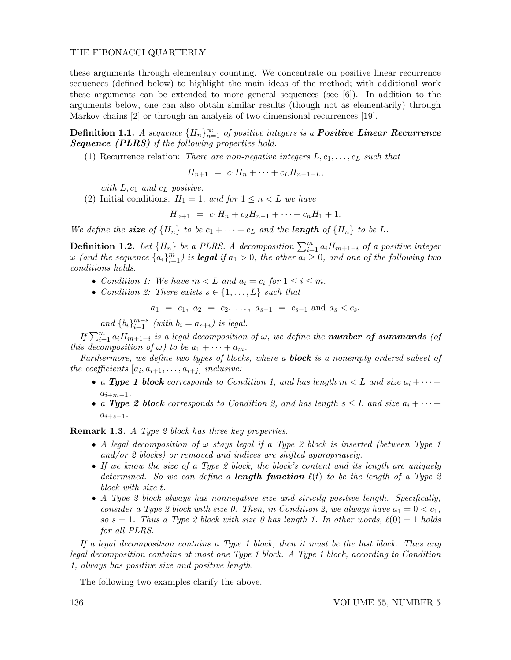these arguments through elementary counting. We concentrate on positive linear recurrence sequences (defined below) to highlight the main ideas of the method; with additional work these arguments can be extended to more general sequences (see [6]). In addition to the arguments below, one can also obtain similar results (though not as elementarily) through Markov chains [2] or through an analysis of two dimensional recurrences [19].

Definition 1.1. A sequence  ${H_n}_{n=1}^{\infty}$  of positive integers is a **Positive Linear Recurrence** Sequence (PLRS) if the following properties hold.

(1) Recurrence relation: There are non-negative integers  $L, c_1, \ldots, c_L$  such that

$$
H_{n+1} = c_1 H_n + \cdots + c_L H_{n+1-L},
$$

with  $L, c_1$  and  $c_L$  positive.

(2) Initial conditions:  $H_1 = 1$ , and for  $1 \le n \le L$  we have

$$
H_{n+1} = c_1 H_n + c_2 H_{n-1} + \cdots + c_n H_1 + 1.
$$

We define the **size** of  $\{H_n\}$  to be  $c_1 + \cdots + c_L$  and the **length** of  $\{H_n\}$  to be L.

**Definition 1.2.** Let  $\{H_n\}$  be a PLRS. A decomposition  $\sum_{i=1}^{m} a_i H_{m+1-i}$  of a positive integer  $\omega$  (and the sequence  $\{a_i\}_{i=1}^m$ ) is **legal** if  $a_1 > 0$ , the other  $\overline{a_i} \geq 0$ , and one of the following two conditions holds.

- Condition 1: We have  $m < L$  and  $a_i = c_i$  for  $1 \leq i \leq m$ .
- Condition 2: There exists  $s \in \{1, \ldots, L\}$  such that

$$
a_1 = c_1, a_2 = c_2, \ldots, a_{s-1} = c_{s-1} \text{ and } a_s < c_s,
$$

and  ${b_i}_{i=1}^{m-s}$  (with  $b_i = a_{s+i}$ ) is legal.

If  $\sum_{i=1}^{m} a_i H_{m+1-i}$  is a legal decomposition of  $\omega$ , we define the **number of summands** (of this decomposition of  $\omega$ ) to be  $a_1 + \cdots + a_m$ .

Furthermore, we define two types of blocks, where a **block** is a nonempty ordered subset of the coefficients  $[a_i, a_{i+1}, \ldots, a_{i+j}]$  inclusive:

- a Type 1 block corresponds to Condition 1, and has length  $m < L$  and size  $a_i + \cdots +$  $a_{i+m-1},$
- a Type 2 block corresponds to Condition 2, and has length  $s \leq L$  and size  $a_i + \cdots +$  $a_{i+s-1}$ .

**Remark 1.3.** A Type 2 block has three key properties.

- A legal decomposition of  $\omega$  stays legal if a Type 2 block is inserted (between Type 1 and/or 2 blocks) or removed and indices are shifted appropriately.
- If we know the size of a Type 2 block, the block's content and its length are uniquely determined. So we can define a **length function**  $\ell(t)$  to be the length of a Type 2 block with size t.
- A Type 2 block always has nonnegative size and strictly positive length. Specifically, consider a Type 2 block with size 0. Then, in Condition 2, we always have  $a_1 = 0 < c_1$ , so  $s = 1$ . Thus a Type 2 block with size 0 has length 1. In other words,  $\ell(0) = 1$  holds for all PLRS.

If a legal decomposition contains a Type 1 block, then it must be the last block. Thus any legal decomposition contains at most one Type 1 block. A Type 1 block, according to Condition 1, always has positive size and positive length.

The following two examples clarify the above.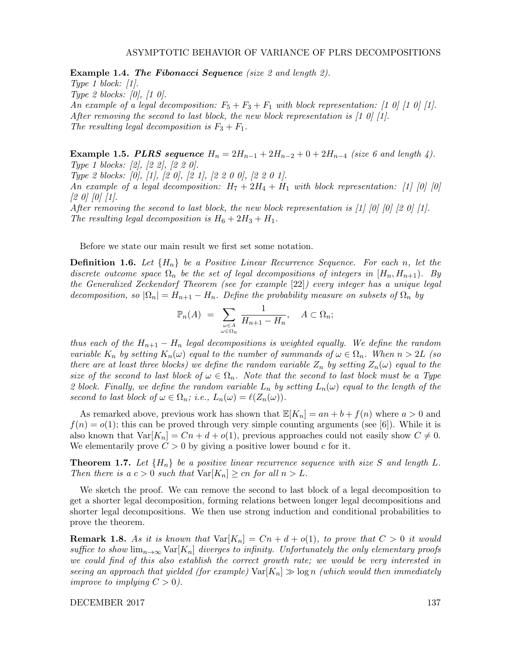Example 1.4. The Fibonacci Sequence (size 2 and length 2).

Type 1 block:  $[1]$ . Type 2 blocks: [0], [1 0]. An example of a legal decomposition:  $F_5 + F_3 + F_1$  with block representation: [1 0] [1 0] [1]. After removing the second to last block, the new block representation is  $\left[1\ 0\right]\left[1\right]$ . The resulting legal decomposition is  $F_3 + F_1$ .

**Example 1.5. PLRS sequence**  $H_n = 2H_{n-1} + 2H_{n-2} + 0 + 2H_{n-4}$  (size 6 and length 4). Type 1 blocks: [2], [2 2], [2 2 0].

Type 2 blocks: [0], [1], [2 0], [2 1], [2 2 0 0], [2 2 0 1].

An example of a legal decomposition:  $H_7 + 2H_4 + H_1$  with block representation: [1] [0] [0]  $[2 0] [0] [1].$ 

After removing the second to last block, the new block representation is  $[1]$   $[0]$   $[0]$   $[2$   $0]$   $[1]$ . The resulting legal decomposition is  $H_6 + 2H_3 + H_1$ .

Before we state our main result we first set some notation.

**Definition 1.6.** Let  $\{H_n\}$  be a Positive Linear Recurrence Sequence. For each n, let the discrete outcome space  $\Omega_n$  be the set of legal decompositions of integers in  $(H_n, H_{n+1})$ . By the Generalized Zeckendorf Theorem (see for example [22]) every integer has a unique legal decomposition, so  $|\Omega_n| = H_{n+1} - H_n$ . Define the probability measure on subsets of  $\Omega_n$  by

$$
\mathbb{P}_n(A) = \sum_{\substack{\omega \in A \\ \omega \in \Omega_n}} \frac{1}{H_{n+1} - H_n}, \quad A \subset \Omega_n;
$$

thus each of the  $H_{n+1} - H_n$  legal decompositions is weighted equally. We define the random variable  $K_n$  by setting  $K_n(\omega)$  equal to the number of summands of  $\omega \in \Omega_n$ . When  $n > 2L$  (so there are at least three blocks) we define the random variable  $Z_n$  by setting  $Z_n(\omega)$  equal to the size of the second to last block of  $\omega \in \Omega_n$ . Note that the second to last block must be a Type 2 block. Finally, we define the random variable  $L_n$  by setting  $L_n(\omega)$  equal to the length of the second to last block of  $\omega \in \Omega_n$ ; i.e.,  $L_n(\omega) = \ell(Z_n(\omega)).$ 

As remarked above, previous work has shown that  $\mathbb{E}[K_n] = an + b + f(n)$  where  $a > 0$  and  $f(n) = o(1)$ ; this can be proved through very simple counting arguments (see [6]). While it is also known that  $Var[K_n] = Cn + d + o(1)$ , previous approaches could not easily show  $C \neq 0$ . We elementarily prove  $C > 0$  by giving a positive lower bound c for it.

**Theorem 1.7.** Let  $\{H_n\}$  be a positive linear recurrence sequence with size S and length L. Then there is a  $c > 0$  such that  $\text{Var}[K_n] \geq cn$  for all  $n > L$ .

We sketch the proof. We can remove the second to last block of a legal decomposition to get a shorter legal decomposition, forming relations between longer legal decompositions and shorter legal decompositions. We then use strong induction and conditional probabilities to prove the theorem.

**Remark 1.8.** As it is known that  $Var[K_n] = Cn + d + o(1)$ , to prove that  $C > 0$  it would suffice to show  $\lim_{n\to\infty} \text{Var}[K_n]$  diverges to infinity. Unfortunately the only elementary proofs we could find of this also establish the correct growth rate; we would be very interested in seeing an approach that yielded (for example)  $\text{Var}[K_n] \gg \log n$  (which would then immediately improve to implying  $C > 0$ ).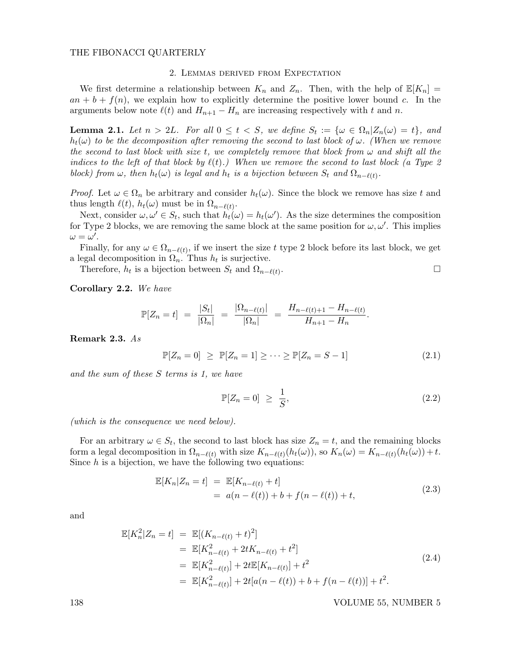### 2. Lemmas derived from Expectation

We first determine a relationship between  $K_n$  and  $Z_n$ . Then, with the help of  $\mathbb{E}[K_n] =$  $an + b + f(n)$ , we explain how to explicitly determine the positive lower bound c. In the arguments below note  $\ell(t)$  and  $H_{n+1} - H_n$  are increasing respectively with t and n.

**Lemma 2.1.** Let  $n > 2L$ . For all  $0 \le t < S$ , we define  $S_t := \{ \omega \in \Omega_n | Z_n(\omega) = t \}$ , and  $h_t(\omega)$  to be the decomposition after removing the second to last block of  $\omega$ . (When we remove the second to last block with size t, we completely remove that block from  $\omega$  and shift all the indices to the left of that block by  $\ell(t)$ .) When we remove the second to last block (a Type 2 block) from  $\omega$ , then  $h_t(\omega)$  is legal and  $h_t$  is a bijection between  $S_t$  and  $\Omega_{n-\ell(t)}$ .

*Proof.* Let  $\omega \in \Omega_n$  be arbitrary and consider  $h_t(\omega)$ . Since the block we remove has size t and thus length  $\ell(t)$ ,  $h_t(\omega)$  must be in  $\Omega_{n-\ell(t)}$ .

Next, consider  $\omega, \omega' \in S_t$ , such that  $h_t(\omega) = h_t(\omega')$ . As the size determines the composition for Type 2 blocks, we are removing the same block at the same position for  $\omega, \omega'$ . This implies  $\omega = \omega'.$ 

Finally, for any  $\omega \in \Omega_{n-\ell(t)}$ , if we insert the size t type 2 block before its last block, we get a legal decomposition in  $\Omega_n$ . Thus  $h_t$  is surjective.

Therefore,  $h_t$  is a bijection between  $S_t$  and  $\Omega_{n-\ell(t)}$ .

Corollary 2.2. We have

$$
\mathbb{P}[Z_n = t] = \frac{|S_t|}{|\Omega_n|} = \frac{|\Omega_{n-\ell(t)}|}{|\Omega_n|} = \frac{H_{n-\ell(t)+1} - H_{n-\ell(t)}}{H_{n+1} - H_n}.
$$

Remark 2.3. As

$$
\mathbb{P}[Z_n = 0] \ge \mathbb{P}[Z_n = 1] \ge \cdots \ge \mathbb{P}[Z_n = S - 1]
$$
\n(2.1)

and the sum of these S terms is 1, we have

$$
\mathbb{P}[Z_n = 0] \ge \frac{1}{S},\tag{2.2}
$$

(which is the consequence we need below).

For an arbitrary  $\omega \in S_t$ , the second to last block has size  $Z_n = t$ , and the remaining blocks form a legal decomposition in  $\Omega_{n-\ell(t)}$  with size  $K_{n-\ell(t)}(h_t(\omega))$ , so  $K_n(\omega) = K_{n-\ell(t)}(h_t(\omega)) + t$ . Since  $h$  is a bijection, we have the following two equations:

$$
\mathbb{E}[K_n|Z_n = t] = \mathbb{E}[K_{n-\ell(t)} + t] \n= a(n - \ell(t)) + b + f(n - \ell(t)) + t,
$$
\n(2.3)

and

$$
\mathbb{E}[K_n^2|Z_n = t] = \mathbb{E}[(K_{n-\ell(t)} + t)^2]
$$
  
\n
$$
= \mathbb{E}[K_{n-\ell(t)}^2 + 2tK_{n-\ell(t)} + t^2]
$$
  
\n
$$
= \mathbb{E}[K_{n-\ell(t)}^2] + 2t\mathbb{E}[K_{n-\ell(t)}] + t^2
$$
  
\n
$$
= \mathbb{E}[K_{n-\ell(t)}^2] + 2t[a(n-\ell(t)) + b + f(n-\ell(t))] + t^2.
$$
\n(2.4)

138 VOLUME 55, NUMBER 5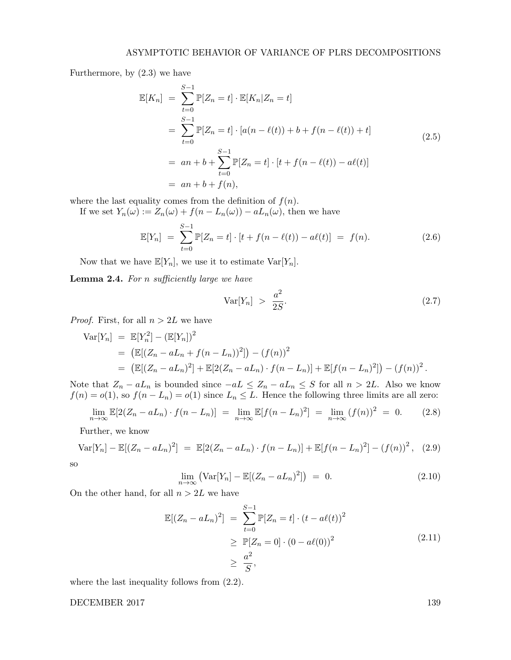Furthermore, by (2.3) we have

$$
\mathbb{E}[K_n] = \sum_{t=0}^{S-1} \mathbb{P}[Z_n = t] \cdot \mathbb{E}[K_n | Z_n = t]
$$
  
= 
$$
\sum_{t=0}^{S-1} \mathbb{P}[Z_n = t] \cdot [a(n - \ell(t)) + b + f(n - \ell(t)) + t]
$$
  
= 
$$
an + b + \sum_{t=0}^{S-1} \mathbb{P}[Z_n = t] \cdot [t + f(n - \ell(t)) - a\ell(t)]
$$
  
= 
$$
an + b + f(n),
$$
 (2.5)

where the last equality comes from the definition of  $f(n)$ .

If we set  $Y_n(\omega) := Z_n(\omega) + f(n - L_n(\omega)) - a_n(\omega)$ , then we have

$$
\mathbb{E}[Y_n] = \sum_{t=0}^{S-1} \mathbb{P}[Z_n = t] \cdot [t + f(n - \ell(t)) - a\ell(t)] = f(n). \tag{2.6}
$$

Now that we have  $\mathbb{E}[Y_n]$ , we use it to estimate  $\text{Var}[Y_n]$ .

Lemma 2.4. For n sufficiently large we have

$$
\text{Var}[Y_n] \ > \ \frac{a^2}{2S}.\tag{2.7}
$$

*Proof.* First, for all  $n > 2L$  we have

$$
\begin{split} \text{Var}[Y_n] &= \mathbb{E}[Y_n^2] - (\mathbb{E}[Y_n])^2 \\ &= \left( \mathbb{E}[(Z_n - aL_n + f(n - L_n))^2] \right) - (f(n))^2 \\ &= \left( \mathbb{E}[(Z_n - aL_n)^2] + \mathbb{E}[2(Z_n - aL_n) \cdot f(n - L_n)] + \mathbb{E}[f(n - L_n)^2] \right) - (f(n))^2 \,. \end{split}
$$

Note that  $Z_n - aL_n$  is bounded since  $-aL \le Z_n - aL_n \le S$  for all  $n > 2L$ . Also we know  $f(n) = o(1)$ , so  $f(n - L_n) = o(1)$  since  $L_n \leq L$ . Hence the following three limits are all zero:

$$
\lim_{n \to \infty} \mathbb{E}[2(Z_n - aL_n) \cdot f(n - L_n)] = \lim_{n \to \infty} \mathbb{E}[f(n - L_n)^2] = \lim_{n \to \infty} (f(n))^2 = 0.
$$
 (2.8)

Further, we know

$$
\text{Var}[Y_n] - \mathbb{E}[(Z_n - a_n)^2] = \mathbb{E}[2(Z_n - a_n) \cdot f(n - L_n)] + \mathbb{E}[f(n - L_n)^2] - (f(n))^2, \quad (2.9)
$$

so

$$
\lim_{n \to \infty} \left( \text{Var}[Y_n] - \mathbb{E}[(Z_n - aL_n)^2] \right) = 0. \tag{2.10}
$$

On the other hand, for all  $n > 2L$  we have

$$
\mathbb{E}[(Z_n - aL_n)^2] = \sum_{t=0}^{S-1} \mathbb{P}[Z_n = t] \cdot (t - a\ell(t))^2
$$
  
\n
$$
\geq \mathbb{P}[Z_n = 0] \cdot (0 - a\ell(0))^2
$$
  
\n
$$
\geq \frac{a^2}{S},
$$
\n(2.11)

where the last inequality follows from (2.2).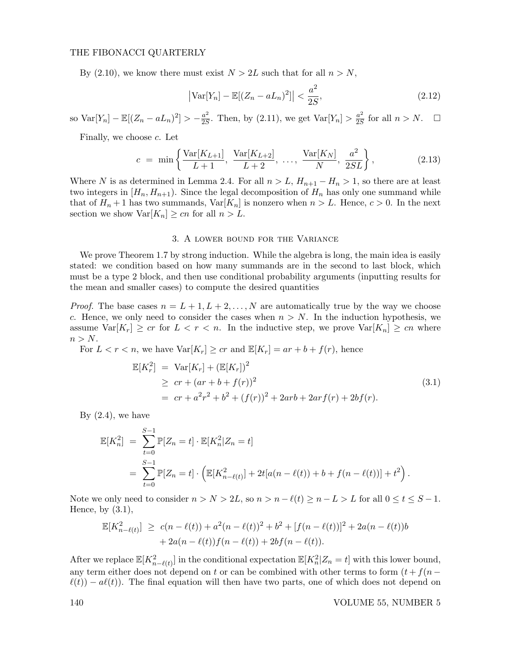By (2.10), we know there must exist  $N > 2L$  such that for all  $n > N$ ,

$$
\left| \text{Var}[Y_n] - \mathbb{E}[(Z_n - a_n)^2] \right| < \frac{a^2}{2S},\tag{2.12}
$$

so Var[Y<sub>n</sub>] –  $\mathbb{E}[(Z_n - aL_n)^2] > -\frac{a^2}{25}$  $\frac{a^2}{2S}$ . Then, by (2.11), we get  $Var[Y_n] > \frac{a^2}{2S}$  $\frac{a^2}{2S}$  for all  $n > N$ .  $\Box$ 

Finally, we choose  $c$ . Let

$$
c = \min\left\{\frac{\text{Var}[K_{L+1}]}{L+1}, \frac{\text{Var}[K_{L+2}]}{L+2}, \dots, \frac{\text{Var}[K_N]}{N}, \frac{a^2}{2SL}\right\},\tag{2.13}
$$

Where N is as determined in Lemma 2.4. For all  $n > L$ ,  $H_{n+1} - H_n > 1$ , so there are at least two integers in  $[H_n, H_{n+1})$ . Since the legal decomposition of  $H_n$  has only one summand while that of  $H_n + 1$  has two summands,  $Var[K_n]$  is nonzero when  $n > L$ . Hence,  $c > 0$ . In the next section we show  $\text{Var}[K_n] \geq cn$  for all  $n > L$ .

# 3. A lower bound for the Variance

We prove Theorem 1.7 by strong induction. While the algebra is long, the main idea is easily stated: we condition based on how many summands are in the second to last block, which must be a type 2 block, and then use conditional probability arguments (inputting results for the mean and smaller cases) to compute the desired quantities

*Proof.* The base cases  $n = L + 1, L + 2, ..., N$  are automatically true by the way we choose c. Hence, we only need to consider the cases when  $n > N$ . In the induction hypothesis, we assume  $\text{Var}[K_r] \geq cr$  for  $L < r < n$ . In the inductive step, we prove  $\text{Var}[K_n] \geq cn$  where  $n > N$ .

For  $L < r < n$ , we have  $\text{Var}[K_r] \geq cr$  and  $\mathbb{E}[K_r] = ar + b + f(r)$ , hence

$$
\mathbb{E}[K_r^2] = \text{Var}[K_r] + (\mathbb{E}[K_r])^2
$$
  
\n
$$
\geq cr + (ar + b + f(r))^2
$$
  
\n
$$
= cr + a^2r^2 + b^2 + (f(r))^2 + 2arb + 2arf(r) + 2bf(r).
$$
\n(3.1)

By  $(2.4)$ , we have

$$
\mathbb{E}[K_n^2] = \sum_{t=0}^{S-1} \mathbb{P}[Z_n = t] \cdot \mathbb{E}[K_n^2 | Z_n = t]
$$
  
= 
$$
\sum_{t=0}^{S-1} \mathbb{P}[Z_n = t] \cdot \left( \mathbb{E}[K_{n-\ell(t)}^2] + 2t[a(n-\ell(t)) + b + f(n-\ell(t))] + t^2 \right).
$$

Note we only need to consider  $n > N > 2L$ , so  $n > n - \ell(t) \ge n - L > L$  for all  $0 \le t \le S - 1$ . Hence, by  $(3.1)$ ,

$$
\mathbb{E}[K_{n-\ell(t)}^2] \ge c(n-\ell(t)) + a^2(n-\ell(t))^2 + b^2 + [f(n-\ell(t))]^2 + 2a(n-\ell(t))b + 2a(n-\ell(t))f(n-\ell(t)) + 2bf(n-\ell(t)).
$$

After we replace  $\mathbb{E}[K_{n-\ell(t)}^2]$  in the conditional expectation  $\mathbb{E}[K_n^2|Z_n = t]$  with this lower bound, any term either does not depend on t or can be combined with other terms to form  $(t + f(n \ell(t)$  –  $a\ell(t)$ . The final equation will then have two parts, one of which does not depend on

140 VOLUME 55, NUMBER 5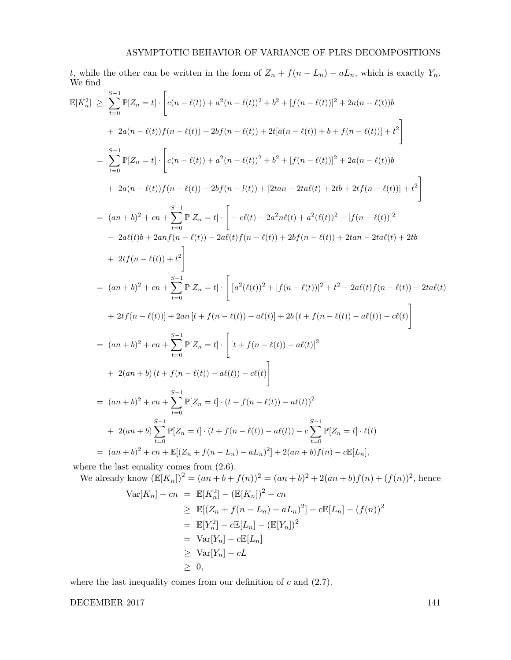t, while the other can be written in the form of  $Z_n + f(n - L_n) - aL_n$ , which is exactly  $Y_n$ . We find

$$
\mathbb{E}[K_n^2] \geq \sum_{t=0}^{S-1} \mathbb{P}[Z_n = t] \cdot \left[ c(n - \ell(t)) + a^2(n - \ell(t))^2 + b^2 + [f(n - \ell(t))]^2 + 2a(n - \ell(t))b + 2a(n - \ell(t))f(n - \ell(t)) + 2bf(n - \ell(t)) + 2t[a(n - \ell(t)) + b + f(n - \ell(t))] + t^2 \right]
$$
  
\n
$$
= \sum_{t=0}^{S-1} \mathbb{P}[Z_n = t] \cdot \left[ c(n - \ell(t)) + a^2(n - \ell(t))^2 + b^2 + [f(n - \ell(t))]^2 + 2a(n - \ell(t))b + 2a(n - \ell(t))f(n - \ell(t)) + 2bf(n - \ell(t)) + [2tan - 2ta\ell(t) + 2tb + 2tf(n - \ell(t))] + t^2 \right]
$$
  
\n
$$
= (an + b)^2 + cn + \sum_{t=0}^{S-1} \mathbb{P}[Z_n = t] \cdot \left[ -c\ell(t) - 2a^2n\ell(t) + a^2(\ell(t))^2 + [f(n - \ell(t))]^2 - 2a\ell(t)b + 2an\lceil (n - \ell(t)) \rceil + 2ab \right]
$$
  
\n
$$
+ 2tf(n - \ell(t)) + t^2 \right]
$$
  
\n
$$
= (an + b)^2 + cn + \sum_{t=0}^{S-1} \mathbb{P}[Z_n = t] \cdot \left[ a^2(\ell(t))^2 + [f(n - \ell(t))]^2 + t^2 - 2a\ell(t)f(n - \ell(t)) - 2ta\ell(t) + 2ab \right]
$$
  
\n
$$
+ 2tf(n - \ell(t)) + 2an\lceil t + f(n - \ell(t)) \rceil + 2b(t + f(n - \ell(t))]^2 + t^2 - 2a\ell(t)f(n - \ell(t)) - 2ta\ell(t) + 2b \ell(t - \ell(t)) + 2bn\lceil (n - \ell(t)) \rceil + 2bn\lceil (n - \ell(t)) \rceil + 2bn\lceil (n - \ell(t)) \rceil + 2bn\lceil (n - \ell(t)) \rceil + 2bn\lceil (n - \ell(t)) \rceil + 2bn\lceil (n - \ell(t)) \rceil + 2bn\lceil (n - \ell(t)) \rceil + 2bn\lceil (n - \ell(t)) \r
$$

We already know 
$$
(\mathbb{E}[K_n])^2 = (an + b + f(n))^2 = (an + b)^2 + 2(an + b)f(n) + (f(n))^2
$$
, hence  
\n
$$
\text{Var}[K_n] - cn = \mathbb{E}[K_n^2] - (\mathbb{E}[K_n])^2 - cn
$$
\n
$$
\geq \mathbb{E}[(Z_n + f(n - L_n) - aL_n)^2] - c\mathbb{E}[L_n] - (f(n))^2
$$
\n
$$
= \mathbb{E}[Y_n^2] - c\mathbb{E}[L_n] - (\mathbb{E}[Y_n])^2
$$
\n
$$
= \text{Var}[Y_n] - c\mathbb{E}[L_n]
$$
\n
$$
\geq \text{Var}[Y_n] - cL
$$
\n
$$
\geq 0,
$$

where the last inequality comes from our definition of  $c$  and  $(2.7)$ .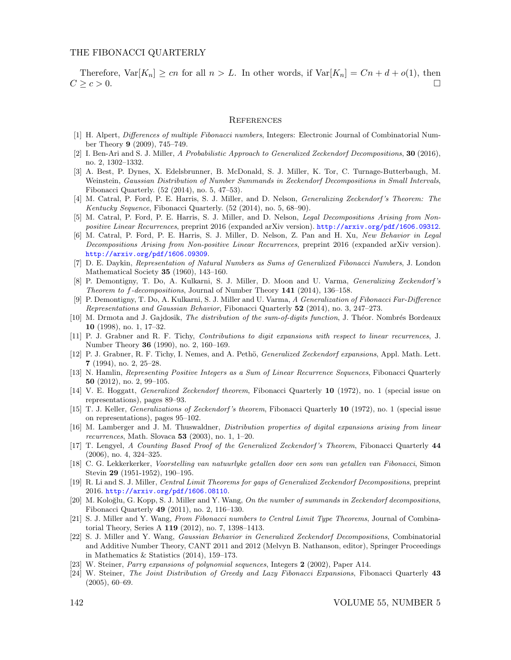Therefore,  $\text{Var}[K_n] \geq cn$  for all  $n > L$ . In other words, if  $\text{Var}[K_n] = Cn + d + o(1)$ , then  $C \geq c > 0.$ 

#### **REFERENCES**

- [1] H. Alpert, Differences of multiple Fibonacci numbers, Integers: Electronic Journal of Combinatorial Number Theory 9 (2009), 745–749.
- [2] I. Ben-Ari and S. J. Miller, A Probabilistic Approach to Generalized Zeckendorf Decompositions, 30 (2016), no. 2, 1302–1332.
- [3] A. Best, P. Dynes, X. Edelsbrunner, B. McDonald, S. J. Miller, K. Tor, C. Turnage-Butterbaugh, M. Weinstein, Gaussian Distribution of Number Summands in Zeckendorf Decompositions in Small Intervals, Fibonacci Quarterly. (52 (2014), no. 5, 47–53).
- [4] M. Catral, P. Ford, P. E. Harris, S. J. Miller, and D. Nelson, Generalizing Zeckendorf 's Theorem: The Kentucky Sequence, Fibonacci Quarterly. (52 (2014), no. 5, 68–90).
- [5] M. Catral, P. Ford, P. E. Harris, S. J. Miller, and D. Nelson, Legal Decompositions Arising from Nonpositive Linear Recurrences, preprint 2016 (expanded arXiv version). http://arxiv.org/pdf/1606.09312.
- [6] M. Catral, P. Ford, P. E. Harris, S. J. Miller, D. Nelson, Z. Pan and H. Xu, New Behavior in Legal Decompositions Arising from Non-positive Linear Recurrences, preprint 2016 (expanded arXiv version). http://arxiv.org/pdf/1606.09309.
- [7] D. E. Daykin, Representation of Natural Numbers as Sums of Generalized Fibonacci Numbers, J. London Mathematical Society 35 (1960), 143–160.
- [8] P. Demontigny, T. Do, A. Kulkarni, S. J. Miller, D. Moon and U. Varma, Generalizing Zeckendorf 's Theorem to f-decompositions, Journal of Number Theory 141 (2014), 136–158.
- [9] P. Demontigny, T. Do, A. Kulkarni, S. J. Miller and U. Varma, A Generalization of Fibonacci Far-Difference Representations and Gaussian Behavior, Fibonacci Quarterly 52 (2014), no. 3, 247–273.
- [10] M. Drmota and J. Gajdosik, The distribution of the sum-of-digits function, J. Théor. Nombrés Bordeaux 10 (1998), no. 1, 17–32.
- [11] P. J. Grabner and R. F. Tichy, Contributions to digit expansions with respect to linear recurrences, J. Number Theory 36 (1990), no. 2, 160–169.
- [12] P. J. Grabner, R. F. Tichy, I. Nemes, and A. Pethö, *Generalized Zeckendorf expansions*, Appl. Math. Lett. 7 (1994), no. 2, 25–28.
- [13] N. Hamlin, Representing Positive Integers as a Sum of Linear Recurrence Sequences, Fibonacci Quarterly 50 (2012), no. 2, 99–105.
- [14] V. E. Hoggatt, Generalized Zeckendorf theorem, Fibonacci Quarterly 10 (1972), no. 1 (special issue on representations), pages 89–93.
- [15] T. J. Keller, Generalizations of Zeckendorf 's theorem, Fibonacci Quarterly 10 (1972), no. 1 (special issue on representations), pages 95–102.
- [16] M. Lamberger and J. M. Thuswaldner, Distribution properties of digital expansions arising from linear recurrences, Math. Slovaca 53 (2003), no. 1, 1–20.
- [17] T. Lengyel, A Counting Based Proof of the Generalized Zeckendorf 's Theorem, Fibonacci Quarterly 44 (2006), no. 4, 324–325.
- [18] C. G. Lekkerkerker, Voorstelling van natuurlyke getallen door een som van getallen van Fibonacci, Simon Stevin 29 (1951-1952), 190–195.
- [19] R. Li and S. J. Miller, Central Limit Theorems for gaps of Generalized Zeckendorf Decompositions, preprint 2016. http://arxiv.org/pdf/1606.08110.
- [20] M. Koloğlu, G. Kopp, S. J. Miller and Y. Wang, On the number of summands in Zeckendorf decompositions, Fibonacci Quarterly 49 (2011), no. 2, 116–130.
- [21] S. J. Miller and Y. Wang, From Fibonacci numbers to Central Limit Type Theorems, Journal of Combinatorial Theory, Series A 119 (2012), no. 7, 1398–1413.
- [22] S. J. Miller and Y. Wang, Gaussian Behavior in Generalized Zeckendorf Decompositions, Combinatorial and Additive Number Theory, CANT 2011 and 2012 (Melvyn B. Nathanson, editor), Springer Proceedings in Mathematics & Statistics (2014), 159–173.
- [23] W. Steiner, Parry expansions of polynomial sequences, Integers 2 (2002), Paper A14.
- [24] W. Steiner, The Joint Distribution of Greedy and Lazy Fibonacci Expansions, Fibonacci Quarterly 43 (2005), 60–69.